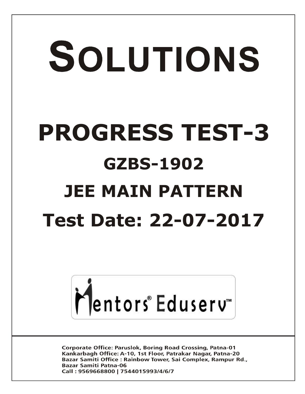# SOLUTIONS **PROGRESS TEST-3 GZBS-1902 JEE MAIN PATTERN Test Date: 22-07-2017**



**Corporate Office: Paruslok, Boring Road Crossing, Patna-01** Kankarbagh Office: A-10, 1st Floor, Patrakar Nagar, Patna-20 Bazar Samiti Office: Rainbow Tower, Sai Complex, Rampur Rd., **Bazar Samiti Patna-06** Call: 9569668800 | 7544015993/4/6/7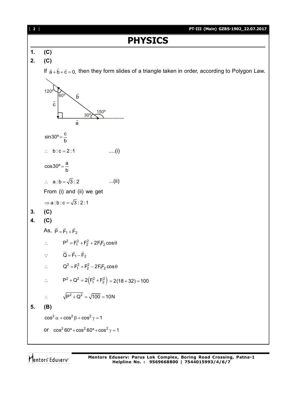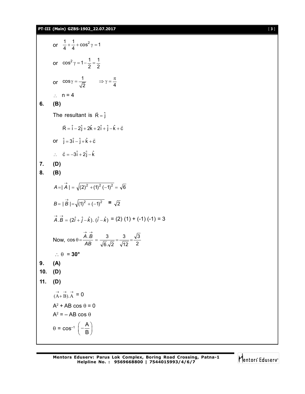#### **PT-III (Main) GZBS-1902\_22.07.2017** [ **3** ]

or  $\frac{1}{4} + \frac{1}{4} + \cos^2 \gamma = 1$ or  $\cos^2 \gamma = 1 - \frac{1}{2} = \frac{1}{2}$ or  $\cos \gamma = \frac{1}{\sqrt{2}}$   $\Rightarrow \gamma = \frac{\pi}{4}$  $\gamma = \frac{1}{\sqrt{2}}$   $\Rightarrow \gamma = \frac{\pi}{4}$  $\therefore$  n = 4 **6. (B)** The resultant is  $\vec{R} = \hat{j}$  $\vec{R} = \hat{i} - 2\hat{j} + 2\hat{k} + 2\hat{i} + \hat{j} - \hat{k} + \vec{c}$ or  $\hat{j} = 3\hat{i} - \hat{j} + \hat{k} + \vec{c}$  $\therefore$   $\vec{c} = -3\hat{i} + 2\hat{j} - \hat{k}$ **7. (D) 8. (B)**  $|A| = |\overrightarrow{A}| = \sqrt{(2)^2 + (1)^2 (-1)^2} = \sqrt{6}$  $B = |\vec{B}| = \sqrt{(1)^2 + (-1)^2} = \sqrt{2}$  $\overrightarrow{A} \cdot \overrightarrow{B} = (2\hat{i} + \hat{j} - \hat{k}) \cdot (\hat{i} - \hat{k}) = (2) (1) + (-1) (-1) = 3$ Now,  $\cos \theta = \frac{1.2}{AB} = \frac{8}{\sqrt{6} \cdot \sqrt{2}} = \frac{8}{\sqrt{12}} = \frac{1}{2}$ 3 12 3  $6.\sqrt{2}$  $\cos \theta = \frac{A.B}{4B} = \frac{3}{\sqrt{2}} = \frac{3}{\sqrt{2}} =$  $\rightarrow$   $\rightarrow$ *AB A B*  $\therefore \theta = 30^{\circ}$ **9. (A) 10. (D) 11. (D)**  $(\overrightarrow{A} + \overrightarrow{B}) \cdot \overrightarrow{A} = 0$  $A^2$  + AB cos  $\theta$  = 0  $A^2 = -AB \cos \theta$  $\theta$  = cos<sup>-1</sup>  $\left(-\frac{A}{B}\right)$  $\left(-\frac{A}{B}\right)$ 

$$
\bigg| \bigg| \bigg| \text{entors}^* \text{Eduser} \big|
$$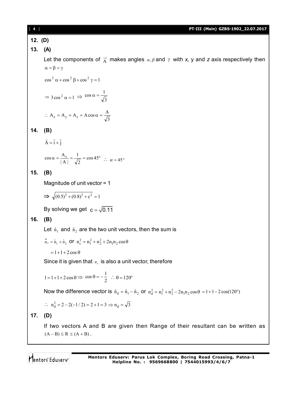#### [ **4** ] **PT-III (Main) GZBS-1902\_22.07.2017**

**12. (D)**

# **13. (A)**

Let the components of  $\vec{A}$  makes angles  $\alpha, \beta$  and  $\gamma$  with x, y and z axis respectively then  $\alpha = \beta = \gamma$ 

 $\cos^2 \alpha + \cos^2 \beta + \cos^2 \gamma = 1$ 

$$
\Rightarrow 3\cos^2 \alpha = 1 \Rightarrow \cos \alpha = \frac{1}{\sqrt{3}}
$$
  
:. A<sub>x</sub> = A<sub>y</sub> = A<sub>z</sub> = A cos \alpha =  $\frac{A}{\sqrt{3}}$ 

$$
14. (B)
$$

$$
\vec{A} = \hat{i} + \hat{j}
$$

$$
\cos \alpha = \frac{A_x}{|A|} = \frac{1}{\sqrt{2}} = \cos 45^\circ \quad \therefore \quad \alpha = 45^\circ
$$

# **15. (B)**

Magnitude of unit vector = 1

$$
\Rightarrow \sqrt{(0.5)^2 + (0.8)^2 + c^2} = 1
$$

By solving we get  $c = \sqrt{0.11}$ 

# **16. (B)**

Let  $\hat{\text{n}}_1$  and  $\hat{\text{n}}_2$  are the two unit vectors, then the sum is

3

$$
\vec{n}_s = \hat{n}_1 + \hat{n}_2
$$
 or  $n_s^2 = n_1^2 + n_2^2 + 2n_1n_2 \cos \theta$ 

 $= 1 + 1 + 2 \cos \theta$ 

Since it is given that  $n<sub>s</sub>$  is also a unit vector, therefore

$$
1 = 1 + 1 + 2\cos\theta \implies \cos\theta = -\frac{1}{2} \therefore \theta = 120^{\circ}
$$

Now the difference vector is  $\hat{n}_d = \hat{n}_1 - \hat{n}_2$  or  $n_d^2 = n_1^2 + n_2^2 - 2n_1n_2\cos\theta = 1 + 1 - 2\cos(120^\circ)$ 

$$
\therefore n_d^2 = 2 - 2(-1/2) = 2 + 1 = 3 \implies n_d = \sqrt{3}
$$

# **17. (D)**

If two vectors A and B are given then Range of their resultant can be written as  $(A - B) \le R \le (A + B)$ .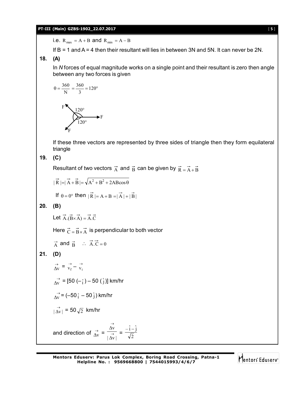#### **PT-III (Main) GZBS-1902\_22.07.2017** [ **5** ]

i.e.  $R_{max} = A + B$  and  $R_{min} = A - B$ 

If B = 1 and A = 4 then their resultant will lies in between 3N and 5N. It can never be 2N.

## **18. (A)**

In *N* forces of equal magnitude works on a single point and their resultant is zero then angle between any two forces is given

$$
\theta = \frac{360}{N} = \frac{360}{3} = 120^{\circ}
$$
  
F

$$
\begin{array}{c}\n\begin{matrix}\n120^{\circ} \\
120^{\circ}\n\end{matrix} \\
\leftarrow F\n\end{array}
$$

If these three vectors are represented by three sides of triangle then they form equilateral triangle

**19. (C)**

Resultant of two vectors  $\vec{A}$  and  $\vec{B}$  can be given by  $\vec{R} = \vec{A} + \vec{B}$ 

$$
|\vec{R}| = |\vec{A} + \vec{B}| = \sqrt{A^2 + B^2 + 2AB\cos\theta}
$$

If 
$$
\theta = 0^{\circ}
$$
 then  $|\vec{R}| = A + B = |\vec{A}| + |\vec{B}|$ 

**20. (B)**

Let  $\vec{A}.(\vec{B} \times \vec{A}) = \vec{A}.\vec{C}$ 

Here  $\vec{C} = \vec{B} \times \vec{A}$  is perpendicular to both vector

 $\vec{A}$  and  $\vec{B}$   $\therefore$   $\vec{A} \cdot \vec{C} = 0$ 

# **21. (D)**

$$
\overrightarrow{\Delta v} = \overrightarrow{v_f} - \overrightarrow{v_i}
$$

 $\overrightarrow{\Delta V}$  = [50 (– $\hat{i}$ ) – 50 ( $\hat{j}$ )] km/hr

$$
\overrightarrow{\Delta v} = (-50 \hat{i} - 50 \hat{j}) \text{ km/hr}
$$

$$
\overrightarrow{|\Delta v|} = 50\sqrt{2} \text{ km/hr}
$$

and direction of 
$$
\frac{\rightarrow}{\Delta v} = \frac{\frac{\rightarrow}{\Delta v}}{|\Delta v|} = \frac{-\hat{i} - \hat{j}}{\sqrt{2}}
$$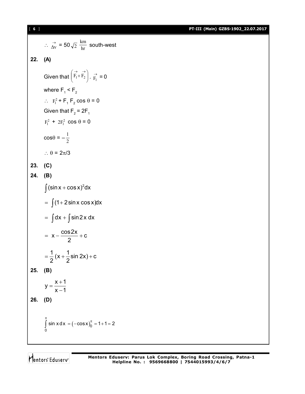[ **6** ] **PT-III (Main) GZBS-1902\_22.07.2017**

 $\therefore \ \frac{\rightarrow}{\Delta v} = 50 \sqrt{2} \frac{\text{km}}{\text{hr}}$  south-west **22. (A)** Given that  $|F_1 + F_2|$  $\bigg)$  $\mathcal{L}$  $\overline{\phantom{a}}$  $\overline{\mathcal{L}}$  $\begin{pmatrix} \overrightarrow{r}_1 + \overrightarrow{F}_2 \\ \overrightarrow{F}_1 + \overrightarrow{F}_2 \end{pmatrix}$ .  $\overrightarrow{F}_1 = 0$ where  $F_1$  <  $F_2$  $\therefore$  F<sub>1</sub><sup>2</sup> + F<sub>1</sub>F<sub>2</sub> cos  $\theta$  = 0 Given that  $F_2 = 2F_1$  $F_1^2$  +  $2F_1^2$  cos  $\theta$  = 0  $\cos\theta = -\frac{1}{2}$ 1  $\therefore$   $\theta = 2\pi/3$ **23. (C) 24. (B)**  $\int (\sin x + \cos x)^2 dx$  $= \int (1 + 2 \sin x \cos x) dx$  $=$   $\int dx + \int sin2x dx$  $x - \frac{\cos 2x}{2} + c$ 2  $= X - \frac{3002N}{2} + 0$  $\frac{1}{2}$  (x +  $\frac{1}{2}$ sin 2x) + c  $2^{\prime}$  2  $=\frac{1}{2}(x+\frac{1}{2}\sin 2x)+0$ **25. (B)**  $y = \frac{x+1}{1}$  $x - 1$  $=\frac{X+}{}$ <sup>-</sup> **26. (D)**  $(-\cos x)^{\circ}_{0}$ 0 sin x d x =  $(-\cos x)_0^{\pi}$  = 1 + 1 = 2  $\int_{0}^{\pi}$  sin x d x = (-cos x) $_{0}^{\pi}$  = 1+1= 2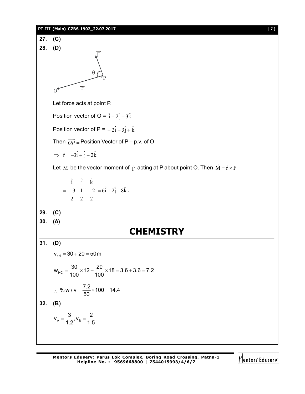#### **PT-III (Main) GZBS-1902\_22.07.2017** [ **7** ]

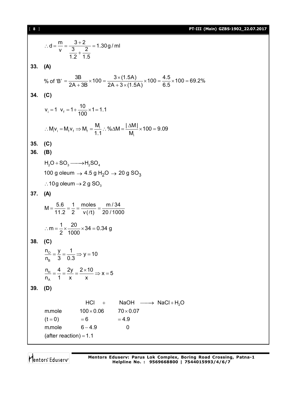[ **8** ] **PT-III (Main) GZBS-1902\_22.07.2017**

 $d = \frac{m}{n} = \frac{3+2}{2} = 1.30g$  / ml  $v$  3 2 1.2 1.5  $\therefore d = \frac{m}{2} = \frac{3+2}{2} =$  $\ddot{}$ **33. (A)** % of 'B' =  $\frac{3B}{2A + 3B} \times 100 = \frac{3 \times (1.5A)}{2A + 3 \times (1.5A)} \times 100 = \frac{4.5}{6.5} \times 100 = 69.2\%$  $=\frac{3B}{24.00} \times 100 = \frac{3 \times (1.5A)}{24.00 \times (1.5A)} \times 100 = \frac{4.5}{2.5} \times 100 = 6$  $+3B$  2A + 3  $\times$  ( **34. (C)**  $v_i = 1$   $v_f = 1 + \frac{10}{100} \times 1 = 1.1$ 100  $= 1$   $V_f = 1 + \frac{18}{100} \times 1 = 1$  $i_{\mathsf{i}}\mathsf{v}_{\mathsf{i}} = \mathsf{M}_{\mathsf{f}}\mathsf{v}_{\mathsf{f}} \Rightarrow \mathsf{M}_{\mathsf{f}} = \frac{\mathsf{I}\mathsf{v}_{\mathsf{f}}}{\mathsf{A}}$ i  $M_i v_i = M_f v_f \Rightarrow M_f = \frac{M_i}{M}$ . % $\triangle M = \frac{|\triangle M|}{M} \times 100 = 9.09$  $1.1$  M  $\therefore M_i v_i = M_f v_f \Rightarrow M_f = \frac{M_i}{M}$ .  $\% \triangle M = \frac{|\triangle M|}{M} \times 100 =$ **35. (C) 36. (B)**  $H_2O + SO_3 \longrightarrow H_2SO_4$ 100 g oleum  $\rightarrow$  4.5 g H<sub>2</sub>O  $\rightarrow$  20 g SO<sub>3</sub>  $\therefore$  10g oleum  $\rightarrow$  2 g SO<sub>3</sub> **37. (A)**  $M = \frac{5.6}{11.8} = \frac{1}{8} = \frac{moles}{100} = \frac{m/34}{88.1188}$ 11.2 2  $v(\ell t)$  20/1000  $=\frac{0.6}{11.8}=\frac{1}{8}=\frac{110000}{100}=$  $\ell$  $m = \frac{1}{2} \times \frac{20}{1000} \times 34 = 0.34$  g 2 1000  $\therefore$  m =  $\frac{1}{2} \times \frac{20}{1000} \times 34 = 0$ **38. (C)** O B  $\frac{n_o}{n} = \frac{y}{n} = \frac{1}{n} \Rightarrow y = 10$  $n_{\rm_B}$  3 0.3  $=\frac{y}{2}=\frac{y}{2} \Rightarrow y=$ H A  $n_{\rm H} = \frac{4}{1} = \frac{2y}{1} = \frac{2 \times 10}{1} \Rightarrow x = 5$  $n_A$  1 x x  $=\frac{4}{4}=\frac{2y}{4}=\frac{2\times10}{3}\Rightarrow x=5$ **39. (D)**  $HCl + NaOH \longrightarrow NaCl + H<sub>2</sub>O$ m.mole  $100\times 0.06$   $70\times 0.07$  $(t = 0)$   $= 6$   $= 4.9$  $m$ .mole  $6 - 4.9$  0 (after reaction) =  $1.1$  $= 6$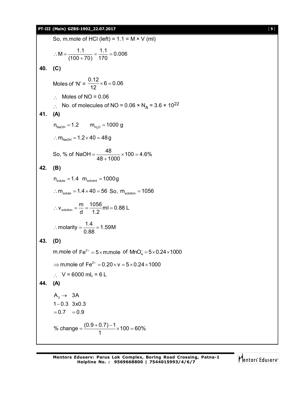## **PT-III (Main) GZBS-1902\_22.07.2017** [ **9** ]

|         | So, m.mole of HCl (left) = $1.1 = M \times V$ (ml)                                         |
|---------|--------------------------------------------------------------------------------------------|
|         | : $M = \frac{1.1}{(100 + 70)} = \frac{1.1}{170} = 0.006$                                   |
| 40. (C) |                                                                                            |
|         | Moles of 'N' = $\frac{0.12}{12} \times 6 = 0.06$                                           |
|         | Moles of $NO = 0.06$                                                                       |
|         | No. of molecules of NO = $0.06 \times N_A = 3.6 \times 10^{22}$                            |
| 41.     | (A)                                                                                        |
|         | $n_{\text{NaOH}} = 1.2$ $m_{H_2O} = 1000$ g                                                |
|         | $\therefore$ m <sub>NaOH</sub> = 1.2 $\times$ 40 = 48 g                                    |
|         | So, % of NaOH = $\frac{48}{48+1000} \times 100 = 4.6\%$                                    |
| 42.     | (B)                                                                                        |
|         | $n_{\text{solute}} = 1.4 \ m_{\text{solvent}} = 1000g$                                     |
|         | $\therefore$ $m_{\text{solute}} = 1.4 \times 40 = 56$ So, $m_{\text{solution}} = 1056$     |
|         | ∴ $V_{\text{solution}} = \frac{m}{d} = \frac{1056}{12}$ ml = 0.88 L                        |
|         | : molarity = $\frac{1.4}{0.99}$ = 1.59M                                                    |
| 43.     | (D)                                                                                        |
|         | m.mole of $Fe^{2+} = 5 \times m$ mole of $MnO_4^- = 5 \times 0.24 \times 1000$             |
|         | $\Rightarrow$ m.mole of Fe <sup>2+</sup> = 0.20 $\times$ v = 5 $\times$ 0.24 $\times$ 1000 |
|         | $\therefore$ V = 6000 mL = 6 L                                                             |
|         | (A)                                                                                        |
|         | $A_3 \rightarrow 3A$<br>$1 - 0.3$ $3 \times 0.3$<br>$= 0.7 = 0.9$                          |
|         | % change = $\frac{(0.9+0.7)-1}{1} \times 100 = 60\%$                                       |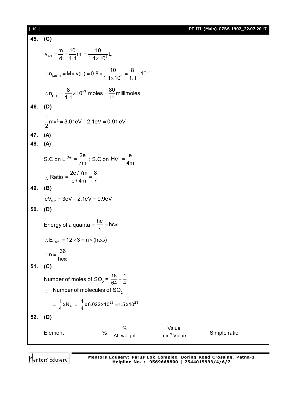[ **10** ] **PT-III (Main) GZBS-1902\_22.07.2017**

| 45. | (C)                                                                                                          |
|-----|--------------------------------------------------------------------------------------------------------------|
|     | $V_{sol} = \frac{m}{d} = \frac{10}{1.1}ml = \frac{10}{1.1 \times 10^3}L$                                     |
|     | ∴ $n_{\text{NaOH}} = M \times v(L) = 0.8 \times \frac{10}{1.1 \times 10^{3}} = \frac{8}{1.1} \times 10^{-3}$ |
|     | ∴ n <sub>oH</sub> = $\frac{8}{11}$ × 10 <sup>-3</sup> moles = $\frac{80}{11}$ millimoles                     |
| 46. | (D)                                                                                                          |
|     | $\frac{1}{2}$ mv <sup>2</sup> = 3.01eV – 2.1eV = 0.91 eV                                                     |
| 47. | (A)                                                                                                          |
|     | 48. (A)                                                                                                      |
|     | S.C on Li <sup>2+</sup> = $\frac{2e}{7m}$ ; S.C on He <sup>+</sup> = $\frac{e}{4m}$                          |
|     | $\therefore$ Ratio = $\frac{2e/7m}{e/4m} = \frac{8}{7}$                                                      |
| 49. | (B)                                                                                                          |
|     | $eV_{SP} = 3eV - 2.1eV = 0.9eV$                                                                              |
| 50. | (D)                                                                                                          |
|     | Energy of a quanta = $\frac{hc}{\lambda}$ = hc $\omega$                                                      |
|     | $\therefore E_{\text{Total}} = 12 \times 3 = n \times (hc\omega)$                                            |
|     | $\therefore n = \frac{36}{1}$                                                                                |
|     | $hc\omega$                                                                                                   |
| 51. | (C)                                                                                                          |
|     | Number of moles of SO <sub>2</sub> = $\frac{16}{64} = \frac{1}{4}$                                           |
|     | Number of molecules of SO <sub>2</sub>                                                                       |
|     | = $\frac{1}{4}$ xN <sub>A</sub> = $\frac{1}{4}$ x 6.022 x 10 <sup>23</sup> = 1.5 x 10 <sup>23</sup>          |
| 52. | (D)                                                                                                          |
|     | Value<br>%<br>$\frac{0}{0}$<br>Element<br>Simple ratio<br>At. weight<br>min <sup>m</sup> Value               |

Mentors<sup>®</sup> Eduserv<sup>®</sup>

**Mentors Eduserv: Parus Lok Complex, Boring Road Crossing, Patna-1 Helpline No. : 9569668800 | 7544015993/4/6/7**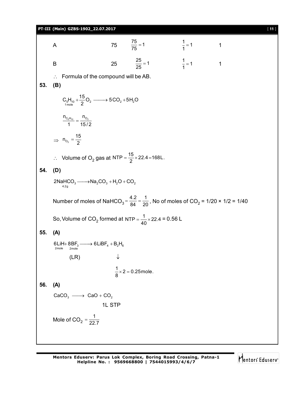### **PT-III (Main) GZBS-1902\_22.07.2017** [ **11** ]

A 75  $\frac{75}{75} = 1$  $\frac{1}{1}$  = 1 1 B 25  $\frac{25}{25} = 1$   $\frac{1}{1} = 1$  1  $\therefore$  Formula of the compound will be AB. **53. (B)**  $\mathsf{C}_5\mathsf{H}_{10}$  +  $\frac{15}{2}\mathsf{O}_2$  -------> 5CO<sub>2</sub> + 5H<sub>2</sub>O  $n_{C_5H_{10}}$  n<sub>O<sub>2</sub></sub>  $\frac{10^{10} \text{ m/s}}{1} = \frac{0}{15/2}$  $\Rightarrow$   $n_{_{\text{O}_2}}$  $n_{O_2} = \frac{15}{2}$ ∴ Volume of O<sub>2</sub> gas at NTP =  $\frac{15}{2}$  × 22.4=168L. **54. (D)**  $2$ NaHCO<sub>3</sub>  $\longrightarrow$ Na<sub>2</sub>CO<sub>3</sub> + H<sub>2</sub>O + CO<sub>2</sub><br><sup>4.2g</sup> Number of moles of NaHCO<sub>3</sub> =  $\frac{4.2}{84}$  =  $\frac{1}{20}$  $=$   $\frac{4.2}{84}$  =  $\frac{1}{20}$ , No of moles of CO<sub>2</sub> = 1/20 × 1/2 = 1/40 So, Volume of CO<sub>2</sub> formed at NTP =  $\frac{1}{40}$  × 22.4 = 0.56 L **55. (A)**  $6LIH + 8BF_3 \longrightarrow 6LIBF_4 + B_2H_6$ <br>  $2mole$   $2mole$  (LR)  $\frac{1}{8}$  × 2 = 0.25 mole. **56. (A)**  $CaCO<sub>3</sub>$   $\longrightarrow$  CaO + CO<sub>2</sub> 1L STP Mole of CO<sub>2</sub> =  $\frac{1}{22}$  $=\frac{1}{22.7}$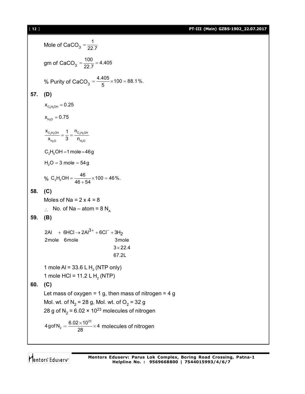[ **12** ] **PT-III (Main) GZBS-1902\_22.07.2017**

Mole of CaCO<sub>3</sub> =  $\frac{1}{22}$  $=\frac{1}{22.7}$ gm of CaCO<sub>3</sub> =  $\frac{100}{22.7}$  = 4.405 % Purity of CaCO<sub>3</sub> =  $\frac{4.405}{5}$  × 100 = 88.1%. **57. (D)**  $\mathsf{x}_{_{\mathsf{C_2H}_5\mathsf{OH}}}$   $= 0.25$  $\mathsf{x}_{_{\mathsf{H}_2\mathsf{O}}}^{}=0.75$ 2 5 2 5  $2^{\circ}$   $1^{\circ}2$  $\mathsf{C_2H_5OH}$   $\blacksquare$   $\blacksquare$   $\blacksquare$  $_{H_{2}O}$   $_{H_{2}O}$  $x_{C_2H_5OH}$  1 n<sub>o</sub>  $\frac{c_2 n_5 O n}{x_{H_0 O}} = \frac{1}{3} = \frac{c_2}{n_1}$  $C_2H_5OH = 1$  mole = 46g  $H_2O = 3$  mole = 54g % C<sub>2</sub>H<sub>5</sub>OH =  $\frac{46}{46+54}$  × 100 = 46%. **58. (C)** Moles of Na =  $2 \times 4 = 8$  $\therefore$  No. of Na – atom = 8 N<sub>A</sub> **59. (B)** 2Al + 6HCl → 2Al<sup>3+</sup> + 6Cl<sup>-</sup> + 3H<sub>2</sub> 2mole 6mole 3mole  $3 \times 22.4$  67.2L 1 mole AI = 33.6 L  $H<sub>2</sub>$  (NTP only) 1 mole HCl = 11.2 L H<sub>2</sub> (NTP) **60. (C)** Let mass of oxygen = 1 g, then mass of nitrogen = 4 g Mol. wt. of N<sub>2</sub> = 28 g, Mol. wt. of O<sub>2</sub> = 32 g 28 g of N<sub>2</sub> = 6.02 × 10<sup>23</sup> molecules of nitrogen 23  $4$ gof N<sub>2</sub> =  $\frac{6.02 \times 10^{23}}{28} \times 4$  $=\frac{6.02\times10^{23}}{20}\times4$  molecules of nitrogen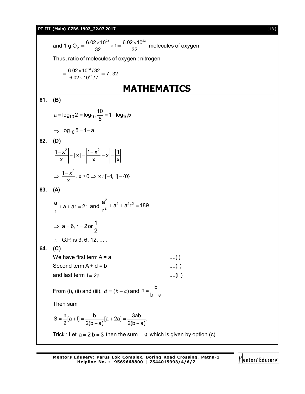#### **PT-III (Main) GZBS-1902\_22.07.2017** [ **13** ]

and 1 g O<sub>2</sub> = 
$$
\frac{6.02 \times 10^{23}}{32} \times 1 = \frac{6.02 \times 10^{23}}{32}
$$
 molecules of oxygen  
\nThus, ratio of molecules of oxygen : nitrogen  
\n
$$
= \frac{6.02 \times 10^{23} / 32}{6.02 \times 10^{23} / 7} = 7:32
$$
\n**MATHEMATICS**  
\n61. (B)  
\n
$$
a = log_{10} 2 = log_{10} \frac{10}{5} = 1 - log_{10} 5
$$
\n⇒ log<sub>10</sub> 5 = 1-a  
\n62. (D)  
\n
$$
\frac{1-x^2}{x} + |x| = \frac{|1-x^2}{x} + x| = \frac{11}{|x|}
$$
\n⇒  $\frac{1-x^2}{x} \times 20 \Rightarrow x \in [-1, 1] - \{0\}$   
\n63. (A)  
\n
$$
\frac{a}{r} + a + ar = 21 \text{ and } \frac{a^2}{r^2} + a^2 + a^2r^2 = 189
$$
\n⇒  $a = 6, r = 2 \text{ or } \frac{1}{2}$   
\n∴ G.P. is 3, 6, 12, ....  
\n64. (C)  
\nWe have first term A = a  
\nSecond term A + d = b  
\nand last term 1 = 2a  
\nFrom (i), (ii) and (iii), d = (b - a) and n =  $\frac{b}{b-a}$   
\nThen sum  
\nS =  $\frac{n}{2}[a+1] = \frac{b}{2(b-a)}[a+2a] = \frac{3ab}{2(b-a)}$ .  
\nTrick : Let a = 2, b = 3 then the sum = 9 which is given by option (c).

$$
\bigvee_{i=1}^r \mathsf{f}(\mathsf{f}(\mathsf{f})_i) \mathsf{f}(\mathsf{f}(\mathsf{f})_i)
$$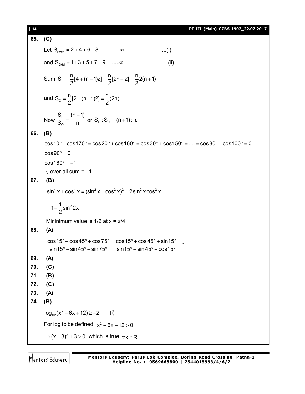| $[14]$ |                                                                                                                                                                                                                                         | PT-III (Main) GZBS-1902_22.07.2017 |
|--------|-----------------------------------------------------------------------------------------------------------------------------------------------------------------------------------------------------------------------------------------|------------------------------------|
| 65.    | (C)                                                                                                                                                                                                                                     |                                    |
|        | Let $S_{Even} = 2 + 4 + 6 + 8 + \dots \dots \infty$                                                                                                                                                                                     | $\dots(i)$                         |
|        | and $S_{\text{odd}} = 1 + 3 + 5 + 7 + 9 + \dots \infty$                                                                                                                                                                                 | $\ldots$ . (ii)                    |
|        | Sum $S_E = \frac{n}{2}[4 + (n-1)2] = \frac{n}{2}[2n + 2] = \frac{n}{2}(2n + 1)$                                                                                                                                                         |                                    |
|        | and $S_0 = \frac{n}{2}[2 + (n-1)2] = \frac{n}{2}(2n)$                                                                                                                                                                                   |                                    |
|        | Now $\frac{S_E}{S_0} = \frac{(n+1)}{n}$ or $S_E$ : $S_O = (n+1)$ : n.                                                                                                                                                                   |                                    |
| 66.    | (B)                                                                                                                                                                                                                                     |                                    |
|        | $cos 10^{\circ} + cos 170^{\circ} = cos 20^{\circ} + cos 160^{\circ} = cos 30^{\circ} + cos 150^{\circ} =  = cos 80^{\circ} + cos 100^{\circ} = 0$                                                                                      |                                    |
|        | $cos 90^\circ = 0$                                                                                                                                                                                                                      |                                    |
|        | $\cos 180^\circ = -1$                                                                                                                                                                                                                   |                                    |
|        | $\therefore$ over all sum = -1                                                                                                                                                                                                          |                                    |
| 67.    | (B)                                                                                                                                                                                                                                     |                                    |
|        | $\sin^4 x + \cos^4 x = (\sin^2 x + \cos^2 x)^2 - 2\sin^2 x \cos^2 x$                                                                                                                                                                    |                                    |
|        | $=1-\frac{1}{2}sin^2 2x$                                                                                                                                                                                                                |                                    |
|        | Mininimum value is 1/2 at $x = \pi/4$                                                                                                                                                                                                   |                                    |
| 68.    | (A)                                                                                                                                                                                                                                     |                                    |
|        | $\frac{\cos 15^{\circ} + \cos 45^{\circ} + \cos 75^{\circ}}{\sin 15^{\circ} + \sin 45^{\circ} + \sin 75^{\circ}} = \frac{\cos 15^{\circ} + \cos 45^{\circ} + \sin 15^{\circ}}{\sin 15^{\circ} + \sin 45^{\circ} + \cos 15^{\circ}} = 1$ |                                    |
| 69.    | (A)                                                                                                                                                                                                                                     |                                    |
| 70.    | (C)                                                                                                                                                                                                                                     |                                    |
| 71.    | (B)                                                                                                                                                                                                                                     |                                    |
| 72.    | (C)                                                                                                                                                                                                                                     |                                    |
| 73.    | (A)                                                                                                                                                                                                                                     |                                    |
| 74.    | (B)                                                                                                                                                                                                                                     |                                    |
|        | $log_{1/2}(x^2 - 6x + 12) \ge -2$ (i)                                                                                                                                                                                                   |                                    |
|        | For log to be defined, $x^2 - 6x + 12 > 0$                                                                                                                                                                                              |                                    |
|        | $\Rightarrow$ $(x-3)^2 + 3 > 0$ , which is true $\forall x \in R$ .                                                                                                                                                                     |                                    |
|        |                                                                                                                                                                                                                                         |                                    |

Mentors<sup>e</sup> Eduserv<sup>-</sup>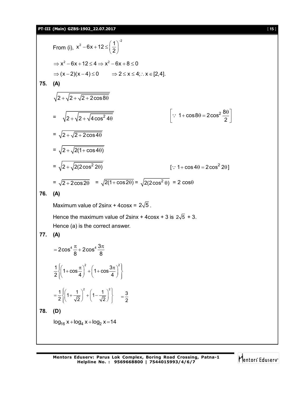From (i), 
$$
x^2 - 6x + 12 \le \left(\frac{1}{2}\right)^2
$$
  
\n $\Rightarrow x^2 - 6x + 12 \le 4 \Rightarrow x^2 - 6x + 8 \le 0$   
\n $\Rightarrow (x-2)(x-4) \le 0 \Rightarrow 2 \le x \le 4; x \le [2,4].$   
\n75. (A)  
\n $\sqrt{2 + \sqrt{2 + \sqrt{2 + 2 \cos 8\theta}}}$   
\n $= \sqrt{2 + \sqrt{2 + \sqrt{4 \cos^2 4\theta}}}$   $[\because 1 + \cos 8\theta = 2\cos^2 \frac{8\theta}{2}]$   
\n $= \sqrt{2 + \sqrt{2 + 2 \cos 4\theta}}$   
\n $= \sqrt{2 + \sqrt{2(2 \cos^2 2\theta)}}$   $[\because 1 + \cos 4\theta = 2\cos^2 2\theta]$   
\n $= \sqrt{2 + 2 \cos 2\theta} = \sqrt{2(1 + \cos 2\theta)} = \sqrt{2(2 \cos^2 \theta)} = 2 \cos \theta$   
\n76. (A)  
\nMaximum value of 2sinx + 4cosx = 2 $\sqrt{5}$ .  
\nHence the maximum value of 2sinx + 4cosx + 3 is 2 $\sqrt{5}$  + 3.  
\nHence (a) is the correct answer.  
\n77. (A)  
\n $= 2\cos^4 \frac{\pi}{8} + 2\cos^4 \frac{3\pi}{8}$   
\n $\frac{1}{2} \left( 1 + \cos \frac{\pi}{4} \right)^2 + \left( 1 + \cos \frac{3\pi}{4} \right)^2$   
\n $= \frac{1}{2} \left[ \left( 1 + \frac{1}{\sqrt{2}} \right)^2 + \left( 1 - \frac{1}{\sqrt{2}} \right)^2 \right] = \frac{3}{2}$   
\n78. (D)  
\n $\log_{16} x + \log_4 x + \log_2 x = 14$ 

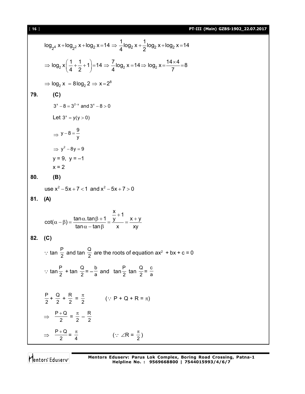[ **16** ] **PT-III (Main) GZBS-1902\_22.07.2017**

$$
\log_{2} x + \log_{2} z \times + \log_{2} x = 14 \Rightarrow \frac{1}{4} \log_{2} x + \frac{1}{2} \log_{2} x + \log_{2} x = 14
$$
\n
$$
\Rightarrow \log_{2} x \left(\frac{1}{4} + \frac{1}{2} + 1\right) = 14 \Rightarrow \frac{7}{4} \log_{2} x = 14 \Rightarrow \log_{2} x = \frac{14 \times 4}{7} = 8
$$
\n
$$
\Rightarrow \log_{2} x = 8 \log_{2} 2 \Rightarrow x = 2^{8}
$$
\n79. (C)\n
$$
3^{x} - 8 = 3^{2-x} \text{ and } 3^{x} - 8 > 0
$$
\nLet  $3^{x} = y(y > 0)$ \n
$$
\Rightarrow y - 8 = \frac{9}{y}
$$
\n
$$
\Rightarrow y^{2} - 8y = 9
$$
\n
$$
y = 9, y = -1
$$
\n
$$
x = 2
$$
\n80. (B)\n
$$
\text{Use } x^{2} - 5x + 7 < 1 \text{ and } x^{2} - 5x + 7 > 0
$$
\n81. (A)\n
$$
\cot(\alpha - \beta) = \frac{\tan \alpha \cdot \tan \beta + 1}{\tan \alpha - \tan \beta} = \frac{\frac{x}{x} + 1}{x} \Rightarrow \frac{x + y}{xy}
$$
\n82. (C)\n
$$
\therefore \tan \frac{P}{2} \text{ and } \tan \frac{Q}{2} \text{ are the roots of equation } ax^{2} + bx + c = 0
$$
\n
$$
\therefore \tan \frac{P}{2} + \tan \frac{Q}{2} = -\frac{b}{a} \text{ and } \tan \frac{P}{2} \tan \frac{Q}{2} = \frac{c}{a}
$$
\n
$$
\frac{P}{2} + \frac{Q}{2} + \frac{R}{2} = \frac{\pi}{2} \qquad (\because P + Q + R = \pi)
$$
\n
$$
\Rightarrow \frac{P + Q}{2} = \frac{\pi}{2} - \frac{R}{2}
$$
\n
$$
\Rightarrow \frac{P + Q}{2} = \frac{\pi}{4} \qquad (\because ZR = \frac{\pi}{2})
$$

Mentors<sup>e</sup> Eduserv<sup>-</sup>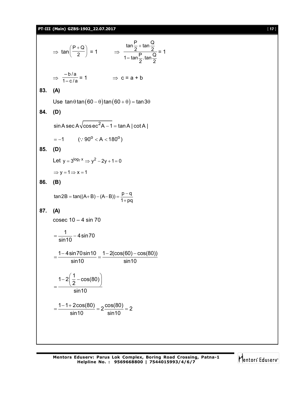#### **PT-III (Main) GZBS-1902\_22.07.2017** [ **17** ]

 $\Rightarrow$  tan $\left(\frac{1-\epsilon}{2}\right)$  $\left(\frac{P+Q}{Q}\right)$  $\overline{\phantom{0}}$ ( P + 2  $P + Q$  $= 1 \Rightarrow$ 2  $\frac{P}{2}$ .tan $\frac{Q}{2}$ 1– tan $\frac{P}{q}$ 2  $\frac{P}{2}$  + tan  $\frac{Q}{2}$  $\tan\frac{P}{2}$  + = 1  $\Rightarrow \frac{-b/a}{1-c/a} = 1$   $\Rightarrow c = a + b$ **83. (A)** Use  $\tan \theta \tan (60 - \theta) \tan (60 + \theta) = \tan 3\theta$ **84. (D)** sin A sec A $\sqrt{\csc^2}$ A  $-$  1 = tan A | cot A |  $\,$  $= -1$  (: 90<sup>o</sup> < A < 180<sup>o</sup>) **85. (D)** Let  $y = 3^{\log_7 x} \Rightarrow y^2 - 2y + 1 = 0$  $\Rightarrow$  y = 1  $\Rightarrow$  x = 1 **86. (B)**  $tan 2B = tan((A+B)-(A-B)) = \frac{p-q}{1+pq}$  $= tan((A+B)-(A-B)) = \frac{p-1}{1+t}$ **87. (A)** cosec  $10 - 4 \sin 70$  $\frac{1}{10}$  – 4 sin 70 sin10  $=$  $\frac{1}{10}$  - 4 1 – 4sin 70sin 10  $1 - 2(\cos(60) - \cos(80))$ sin10 sin10  $=\frac{1-4\sin 70\sin 10}{1.18}=\frac{1-2(\cos(60)-\cos(60))}{1.18}$  $1-2\left(\frac{1}{2}-\cos(80)\right)$ 2 sin10  $=\frac{1-2\left(\frac{1}{2}-\cos(80)\right)}{\sin(120)}$  $\frac{1-1+2\cos(80)}{1} = 2\frac{\cos(80)}{1} = 2$ sin10 sin10  $=\frac{1-1+2\cos(80)}{1-1+2\cos(80)}=2\frac{\cos(80)}{\sin(10)}=2$